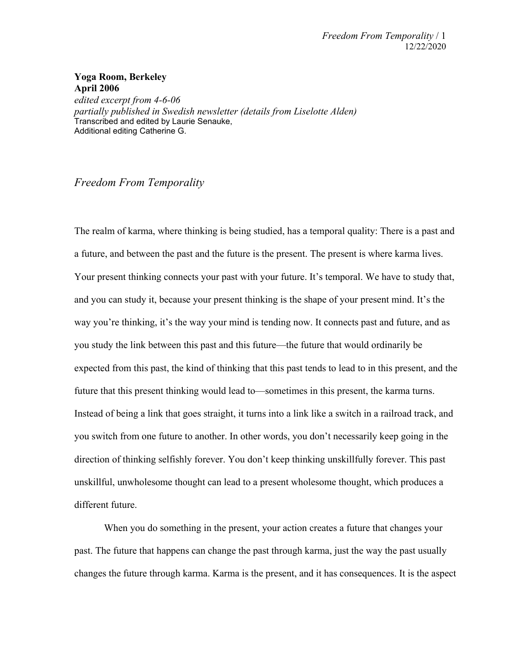## **Yoga Room, Berkeley April 2006**

*edited excerpt from 4-6-06 partially published in Swedish newsletter (details from Liselotte Alden)* Transcribed and edited by Laurie Senauke, Additional editing Catherine G.

## *Freedom From Temporality*

The realm of karma, where thinking is being studied, has a temporal quality: There is a past and a future, and between the past and the future is the present. The present is where karma lives. Your present thinking connects your past with your future. It's temporal. We have to study that, and you can study it, because your present thinking is the shape of your present mind. It's the way you're thinking, it's the way your mind is tending now. It connects past and future, and as you study the link between this past and this future—the future that would ordinarily be expected from this past, the kind of thinking that this past tends to lead to in this present, and the future that this present thinking would lead to—sometimes in this present, the karma turns. Instead of being a link that goes straight, it turns into a link like a switch in a railroad track, and you switch from one future to another. In other words, you don't necessarily keep going in the direction of thinking selfishly forever. You don't keep thinking unskillfully forever. This past unskillful, unwholesome thought can lead to a present wholesome thought, which produces a different future.

When you do something in the present, your action creates a future that changes your past. The future that happens can change the past through karma, just the way the past usually changes the future through karma. Karma is the present, and it has consequences. It is the aspect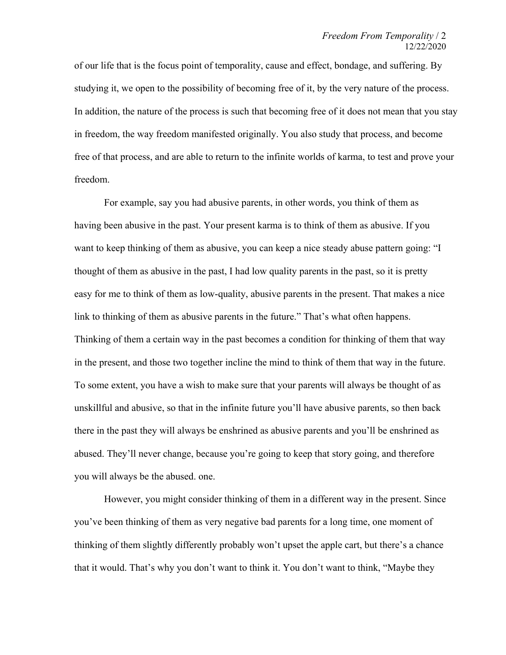of our life that is the focus point of temporality, cause and effect, bondage, and suffering. By studying it, we open to the possibility of becoming free of it, by the very nature of the process. In addition, the nature of the process is such that becoming free of it does not mean that you stay in freedom, the way freedom manifested originally. You also study that process, and become free of that process, and are able to return to the infinite worlds of karma, to test and prove your freedom.

For example, say you had abusive parents, in other words, you think of them as having been abusive in the past. Your present karma is to think of them as abusive. If you want to keep thinking of them as abusive, you can keep a nice steady abuse pattern going: "I thought of them as abusive in the past, I had low quality parents in the past, so it is pretty easy for me to think of them as low-quality, abusive parents in the present. That makes a nice link to thinking of them as abusive parents in the future." That's what often happens. Thinking of them a certain way in the past becomes a condition for thinking of them that way in the present, and those two together incline the mind to think of them that way in the future. To some extent, you have a wish to make sure that your parents will always be thought of as unskillful and abusive, so that in the infinite future you'll have abusive parents, so then back there in the past they will always be enshrined as abusive parents and you'll be enshrined as abused. They'll never change, because you're going to keep that story going, and therefore you will always be the abused. one.

However, you might consider thinking of them in a different way in the present. Since you've been thinking of them as very negative bad parents for a long time, one moment of thinking of them slightly differently probably won't upset the apple cart, but there's a chance that it would. That's why you don't want to think it. You don't want to think, "Maybe they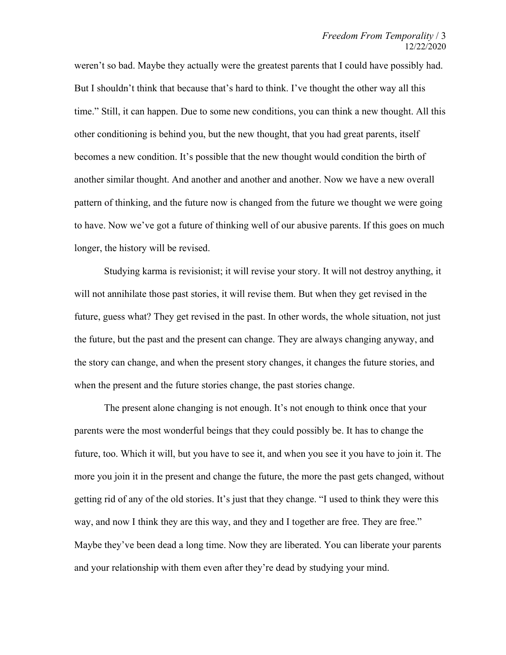weren't so bad. Maybe they actually were the greatest parents that I could have possibly had. But I shouldn't think that because that's hard to think. I've thought the other way all this time." Still, it can happen. Due to some new conditions, you can think a new thought. All this other conditioning is behind you, but the new thought, that you had great parents, itself becomes a new condition. It's possible that the new thought would condition the birth of another similar thought. And another and another and another. Now we have a new overall pattern of thinking, and the future now is changed from the future we thought we were going to have. Now we've got a future of thinking well of our abusive parents. If this goes on much longer, the history will be revised.

Studying karma is revisionist; it will revise your story. It will not destroy anything, it will not annihilate those past stories, it will revise them. But when they get revised in the future, guess what? They get revised in the past. In other words, the whole situation, not just the future, but the past and the present can change. They are always changing anyway, and the story can change, and when the present story changes, it changes the future stories, and when the present and the future stories change, the past stories change.

The present alone changing is not enough. It's not enough to think once that your parents were the most wonderful beings that they could possibly be. It has to change the future, too. Which it will, but you have to see it, and when you see it you have to join it. The more you join it in the present and change the future, the more the past gets changed, without getting rid of any of the old stories. It's just that they change. "I used to think they were this way, and now I think they are this way, and they and I together are free. They are free." Maybe they've been dead a long time. Now they are liberated. You can liberate your parents and your relationship with them even after they're dead by studying your mind.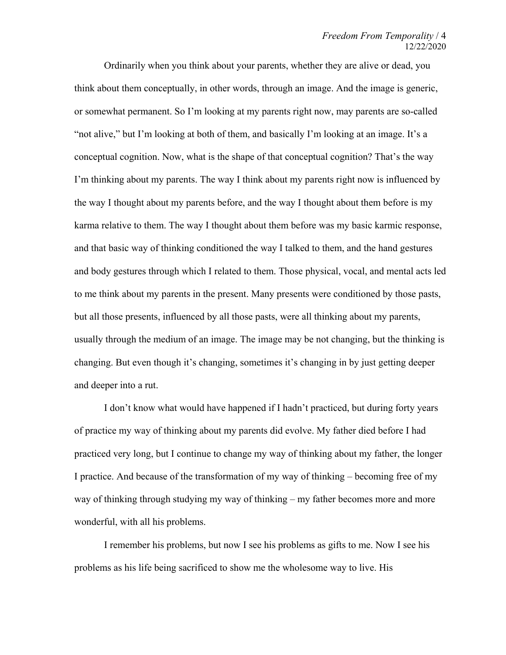Ordinarily when you think about your parents, whether they are alive or dead, you think about them conceptually, in other words, through an image. And the image is generic, or somewhat permanent. So I'm looking at my parents right now, may parents are so-called "not alive," but I'm looking at both of them, and basically I'm looking at an image. It's a conceptual cognition. Now, what is the shape of that conceptual cognition? That's the way I'm thinking about my parents. The way I think about my parents right now is influenced by the way I thought about my parents before, and the way I thought about them before is my karma relative to them. The way I thought about them before was my basic karmic response, and that basic way of thinking conditioned the way I talked to them, and the hand gestures and body gestures through which I related to them. Those physical, vocal, and mental acts led to me think about my parents in the present. Many presents were conditioned by those pasts, but all those presents, influenced by all those pasts, were all thinking about my parents, usually through the medium of an image. The image may be not changing, but the thinking is changing. But even though it's changing, sometimes it's changing in by just getting deeper and deeper into a rut.

I don't know what would have happened if I hadn't practiced, but during forty years of practice my way of thinking about my parents did evolve. My father died before I had practiced very long, but I continue to change my way of thinking about my father, the longer I practice. And because of the transformation of my way of thinking – becoming free of my way of thinking through studying my way of thinking – my father becomes more and more wonderful, with all his problems.

I remember his problems, but now I see his problems as gifts to me. Now I see his problems as his life being sacrificed to show me the wholesome way to live. His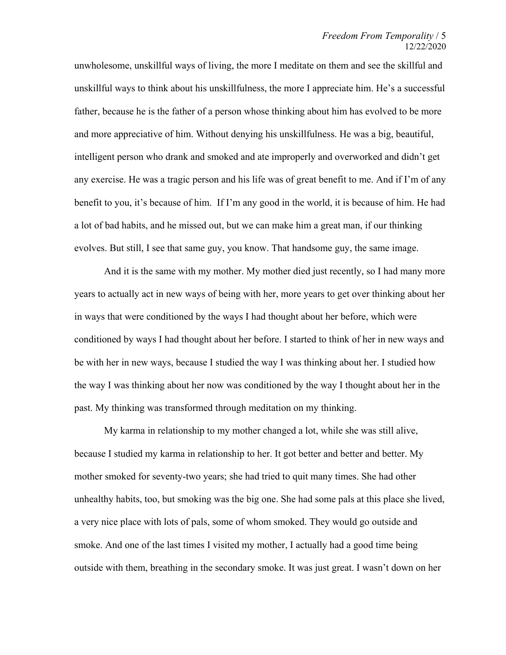unwholesome, unskillful ways of living, the more I meditate on them and see the skillful and unskillful ways to think about his unskillfulness, the more I appreciate him. He's a successful father, because he is the father of a person whose thinking about him has evolved to be more and more appreciative of him. Without denying his unskillfulness. He was a big, beautiful, intelligent person who drank and smoked and ate improperly and overworked and didn't get any exercise. He was a tragic person and his life was of great benefit to me. And if I'm of any benefit to you, it's because of him. If I'm any good in the world, it is because of him. He had a lot of bad habits, and he missed out, but we can make him a great man, if our thinking evolves. But still, I see that same guy, you know. That handsome guy, the same image.

And it is the same with my mother. My mother died just recently, so I had many more years to actually act in new ways of being with her, more years to get over thinking about her in ways that were conditioned by the ways I had thought about her before, which were conditioned by ways I had thought about her before. I started to think of her in new ways and be with her in new ways, because I studied the way I was thinking about her. I studied how the way I was thinking about her now was conditioned by the way I thought about her in the past. My thinking was transformed through meditation on my thinking.

My karma in relationship to my mother changed a lot, while she was still alive, because I studied my karma in relationship to her. It got better and better and better. My mother smoked for seventy-two years; she had tried to quit many times. She had other unhealthy habits, too, but smoking was the big one. She had some pals at this place she lived, a very nice place with lots of pals, some of whom smoked. They would go outside and smoke. And one of the last times I visited my mother, I actually had a good time being outside with them, breathing in the secondary smoke. It was just great. I wasn't down on her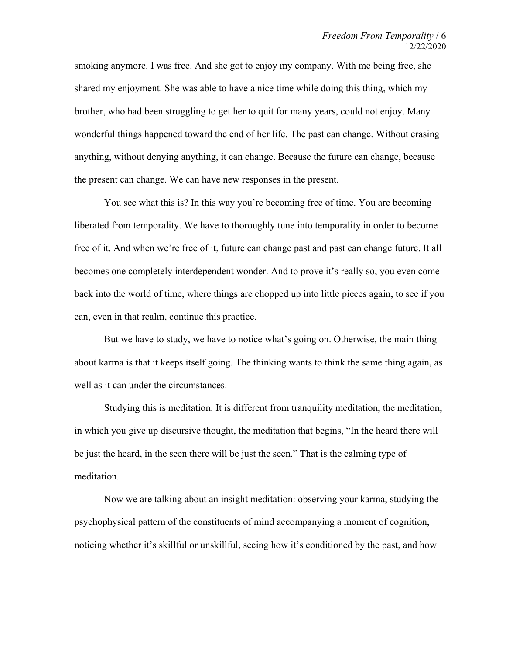smoking anymore. I was free. And she got to enjoy my company. With me being free, she shared my enjoyment. She was able to have a nice time while doing this thing, which my brother, who had been struggling to get her to quit for many years, could not enjoy. Many wonderful things happened toward the end of her life. The past can change. Without erasing anything, without denying anything, it can change. Because the future can change, because the present can change. We can have new responses in the present.

You see what this is? In this way you're becoming free of time. You are becoming liberated from temporality. We have to thoroughly tune into temporality in order to become free of it. And when we're free of it, future can change past and past can change future. It all becomes one completely interdependent wonder. And to prove it's really so, you even come back into the world of time, where things are chopped up into little pieces again, to see if you can, even in that realm, continue this practice.

But we have to study, we have to notice what's going on. Otherwise, the main thing about karma is that it keeps itself going. The thinking wants to think the same thing again, as well as it can under the circumstances.

Studying this is meditation. It is different from tranquility meditation, the meditation, in which you give up discursive thought, the meditation that begins, "In the heard there will be just the heard, in the seen there will be just the seen." That is the calming type of meditation.

Now we are talking about an insight meditation: observing your karma, studying the psychophysical pattern of the constituents of mind accompanying a moment of cognition, noticing whether it's skillful or unskillful, seeing how it's conditioned by the past, and how